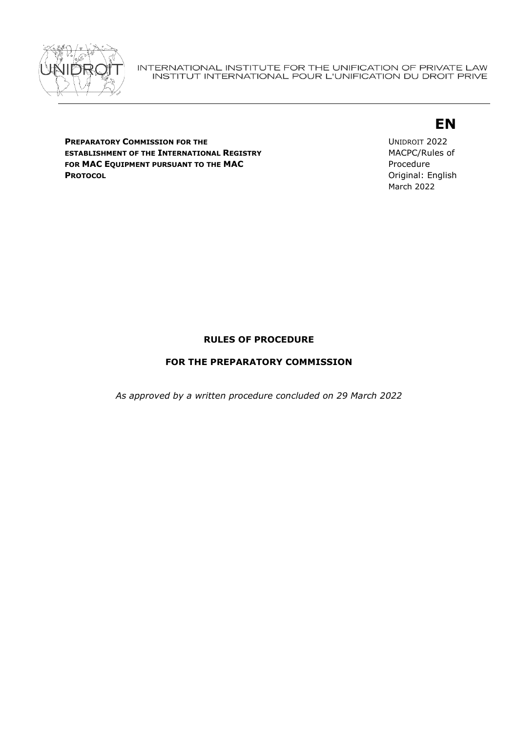

#### INTERNATIONAL INSTITUTE FOR THE UNIFICATION OF PRIVATE LAW INSTITUT INTERNATIONAL POUR L'UNIFICATION DU DROIT PRIVE

# **EN**

**PREPARATORY COMMISSION FOR THE ESTABLISHMENT OF THE INTERNATIONAL REGISTRY FOR MAC EQUIPMENT PURSUANT TO THE MAC PROTOCOL**

UNIDROIT 2022 MACPC/Rules of Procedure Original: English March 2022

# **RULES OF PROCEDURE**

# **FOR THE PREPARATORY COMMISSION**

*As approved by a written procedure concluded on 29 March 2022*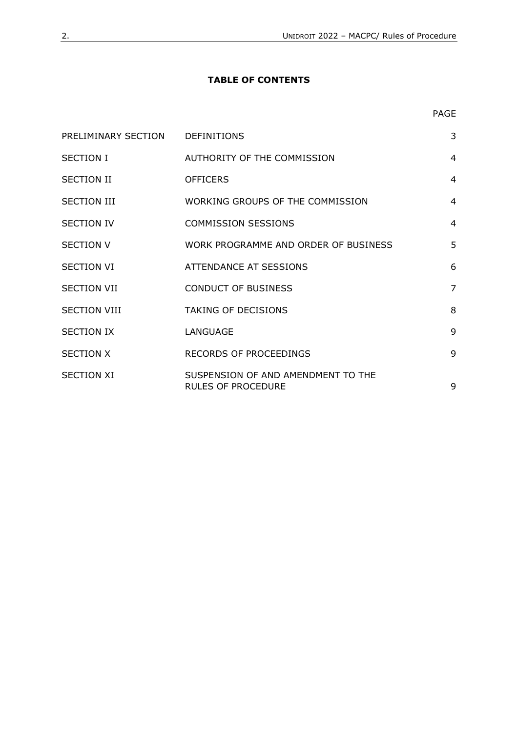# <span id="page-1-0"></span>**TABLE OF CONTENTS**

| PRELIMINARY SECTION DEFINITIONS |                                                                 | 3              |
|---------------------------------|-----------------------------------------------------------------|----------------|
| <b>SECTION I</b>                | AUTHORITY OF THE COMMISSION                                     | $\overline{4}$ |
| <b>SECTION II</b>               | <b>OFFICERS</b>                                                 | $\overline{4}$ |
| <b>SECTION III</b>              | WORKING GROUPS OF THE COMMISSION                                | $\overline{4}$ |
| <b>SECTION IV</b>               | <b>COMMISSION SESSIONS</b>                                      | $\overline{4}$ |
| <b>SECTION V</b>                | WORK PROGRAMME AND ORDER OF BUSINESS                            | 5              |
| <b>SECTION VI</b>               | ATTENDANCE AT SESSIONS                                          | 6              |
| <b>SECTION VII</b>              | <b>CONDUCT OF BUSINESS</b>                                      | $\overline{7}$ |
| <b>SECTION VIII</b>             | <b>TAKING OF DECISIONS</b>                                      | 8              |
| <b>SECTION IX</b>               | LANGUAGE                                                        | 9              |
| <b>SECTION X</b>                | RECORDS OF PROCEEDINGS                                          | 9              |
| <b>SECTION XI</b>               | SUSPENSION OF AND AMENDMENT TO THE<br><b>RULES OF PROCEDURE</b> | 9              |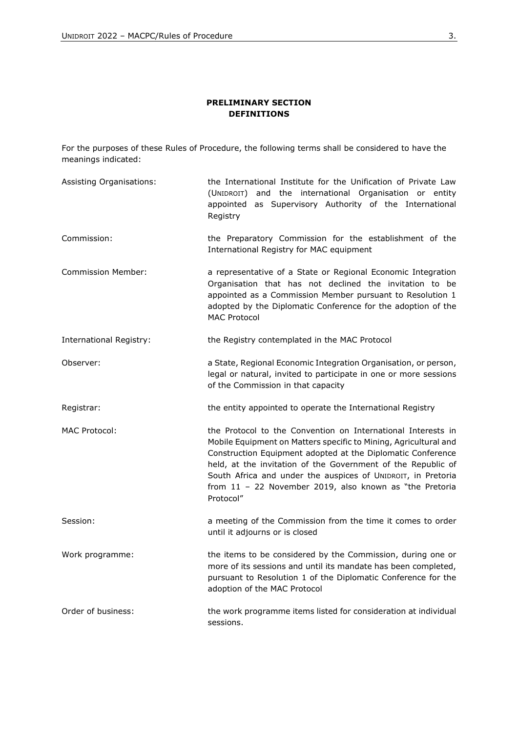### **PRELIMINARY SECTION DEFINITIONS**

<span id="page-2-0"></span>For the purposes of these Rules of Procedure, the following terms shall be considered to have the meanings indicated:

Assisting Organisations: the International Institute for the Unification of Private Law (UNIDROIT) and the international Organisation or entity appointed as Supervisory Authority of the International Registry Commission: the Preparatory Commission for the establishment of the International Registry for MAC equipment Commission Member: a representative of a State or Regional Economic Integration Organisation that has not declined the invitation to be appointed as a Commission Member pursuant to Resolution 1 adopted by the Diplomatic Conference for the adoption of the MAC Protocol International Registry: the Registry contemplated in the MAC Protocol Observer: a State, Regional Economic Integration Organisation, or person, legal or natural, invited to participate in one or more sessions of the Commission in that capacity Registrar: the entity appointed to operate the International Registry MAC Protocol: the Protocol to the Convention on International Interests in Mobile Equipment on Matters specific to Mining, Agricultural and Construction Equipment adopted at the Diplomatic Conference held, at the invitation of the Government of the Republic of South Africa and under the auspices of UNIDROIT, in Pretoria from 11 – 22 November 2019, also known as "the Pretoria Protocol" Session: a meeting of the Commission from the time it comes to order until it adjourns or is closed Work programme: the items to be considered by the Commission, during one or more of its sessions and until its mandate has been completed, pursuant to Resolution 1 of the Diplomatic Conference for the adoption of the MAC Protocol Order of business: the work programme items listed for consideration at individual sessions.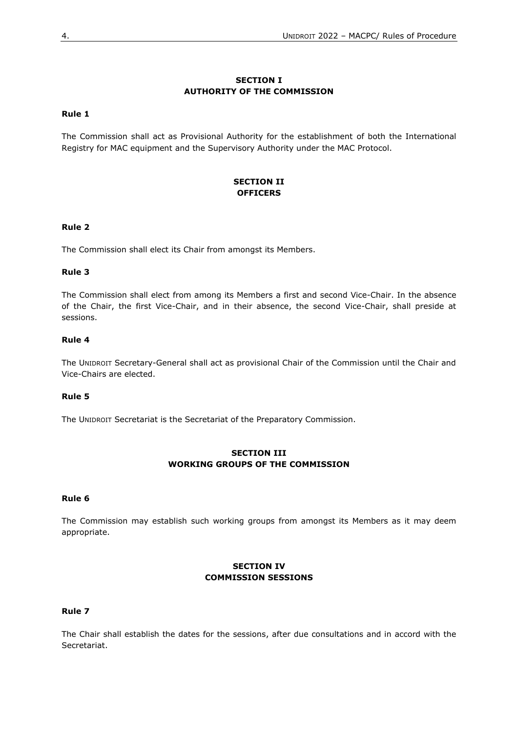### **SECTION I AUTHORITY OF THE COMMISSION**

### <span id="page-3-1"></span><span id="page-3-0"></span>**Rule 1**

<span id="page-3-2"></span>The Commission shall act as Provisional Authority for the establishment of both the International Registry for MAC equipment and the Supervisory Authority under the MAC Protocol.

### **SECTION II OFFICERS**

### <span id="page-3-3"></span>**Rule 2**

The Commission shall elect its Chair from amongst its Members.

### **Rule 3**

The Commission shall elect from among its Members a first and second Vice-Chair. In the absence of the Chair, the first Vice-Chair, and in their absence, the second Vice-Chair, shall preside at sessions.

### **Rule 4**

The UNIDROIT Secretary-General shall act as provisional Chair of the Commission until the Chair and Vice-Chairs are elected.

### **Rule 5**

<span id="page-3-4"></span>The UNIDROIT Secretariat is the Secretariat of the Preparatory Commission.

### **SECTION III WORKING GROUPS OF THE COMMISSION**

#### <span id="page-3-5"></span>**Rule 6**

<span id="page-3-6"></span>The Commission may establish such working groups from amongst its Members as it may deem appropriate.

### **SECTION IV COMMISSION SESSIONS**

#### <span id="page-3-7"></span>**Rule 7**

The Chair shall establish the dates for the sessions, after due consultations and in accord with the Secretariat.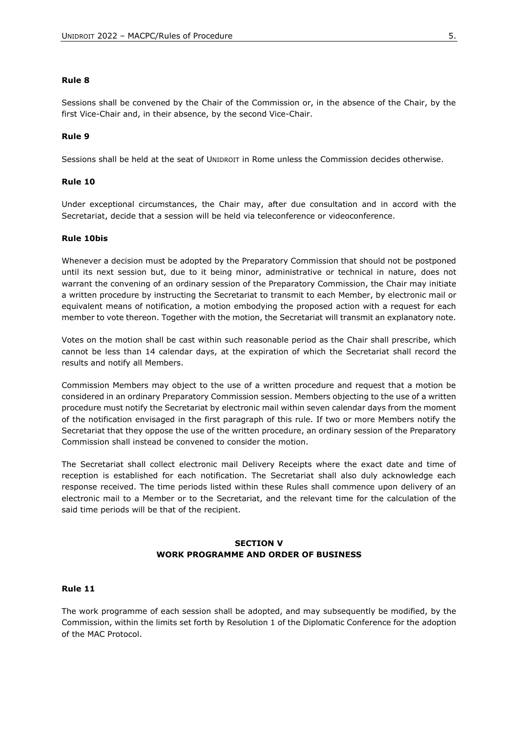#### **Rule 8**

Sessions shall be convened by the Chair of the Commission or, in the absence of the Chair, by the first Vice-Chair and, in their absence, by the second Vice-Chair.

### **Rule 9**

Sessions shall be held at the seat of UNIDROIT in Rome unless the Commission decides otherwise.

#### **Rule 10**

Under exceptional circumstances, the Chair may, after due consultation and in accord with the Secretariat, decide that a session will be held via teleconference or videoconference.

#### **Rule 10bis**

Whenever a decision must be adopted by the Preparatory Commission that should not be postponed until its next session but, due to it being minor, administrative or technical in nature, does not warrant the convening of an ordinary session of the Preparatory Commission, the Chair may initiate a written procedure by instructing the Secretariat to transmit to each Member, by electronic mail or equivalent means of notification, a motion embodying the proposed action with a request for each member to vote thereon. Together with the motion, the Secretariat will transmit an explanatory note.

Votes on the motion shall be cast within such reasonable period as the Chair shall prescribe, which cannot be less than 14 calendar days, at the expiration of which the Secretariat shall record the results and notify all Members.

Commission Members may object to the use of a written procedure and request that a motion be considered in an ordinary Preparatory Commission session. Members objecting to the use of a written procedure must notify the Secretariat by electronic mail within seven calendar days from the moment of the notification envisaged in the first paragraph of this rule. If two or more Members notify the Secretariat that they oppose the use of the written procedure, an ordinary session of the Preparatory Commission shall instead be convened to consider the motion.

The Secretariat shall collect electronic mail Delivery Receipts where the exact date and time of reception is established for each notification. The Secretariat shall also duly acknowledge each response received. The time periods listed within these Rules shall commence upon delivery of an electronic mail to a Member or to the Secretariat, and the relevant time for the calculation of the said time periods will be that of the recipient.

### **SECTION V WORK PROGRAMME AND ORDER OF BUSINESS**

### <span id="page-4-1"></span><span id="page-4-0"></span>**Rule 11**

The work programme of each session shall be adopted, and may subsequently be modified, by the Commission, within the limits set forth by Resolution 1 of the Diplomatic Conference for the adoption of the MAC Protocol.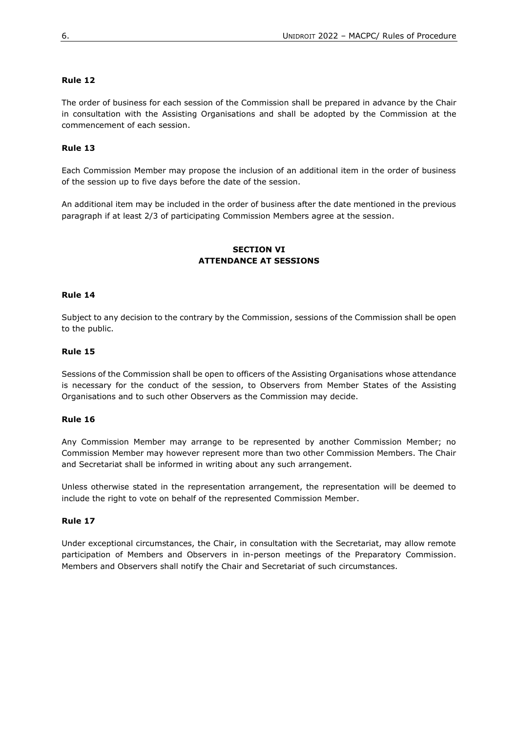### **Rule 12**

The order of business for each session of the Commission shall be prepared in advance by the Chair in consultation with the Assisting Organisations and shall be adopted by the Commission at the commencement of each session.

### **Rule 13**

Each Commission Member may propose the inclusion of an additional item in the order of business of the session up to five days before the date of the session.

<span id="page-5-0"></span>An additional item may be included in the order of business after the date mentioned in the previous paragraph if at least 2/3 of participating Commission Members agree at the session.

### **SECTION VI ATTENDANCE AT SESSIONS**

#### <span id="page-5-1"></span>**Rule 14**

Subject to any decision to the contrary by the Commission, sessions of the Commission shall be open to the public.

#### **Rule 15**

Sessions of the Commission shall be open to officers of the Assisting Organisations whose attendance is necessary for the conduct of the session, to Observers from Member States of the Assisting Organisations and to such other Observers as the Commission may decide.

#### **Rule 16**

Any Commission Member may arrange to be represented by another Commission Member; no Commission Member may however represent more than two other Commission Members. The Chair and Secretariat shall be informed in writing about any such arrangement.

Unless otherwise stated in the representation arrangement, the representation will be deemed to include the right to vote on behalf of the represented Commission Member.

### **Rule 17**

<span id="page-5-2"></span>Under exceptional circumstances, the Chair, in consultation with the Secretariat, may allow remote participation of Members and Observers in in-person meetings of the Preparatory Commission. Members and Observers shall notify the Chair and Secretariat of such circumstances.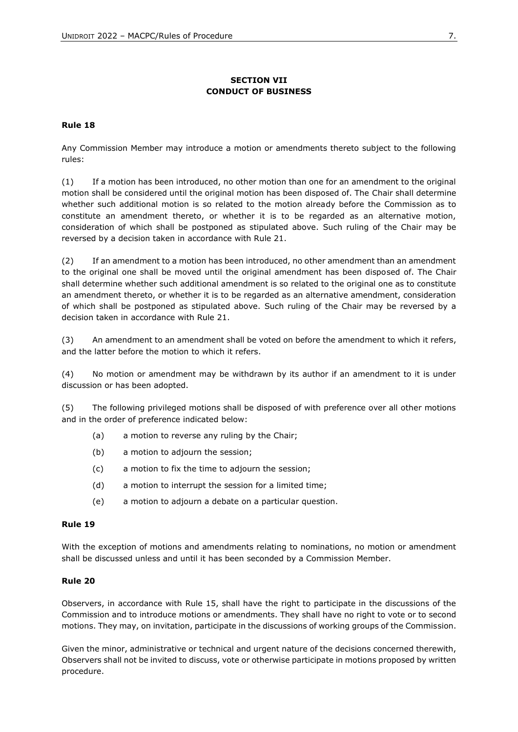# **SECTION VII CONDUCT OF BUSINESS**

### <span id="page-6-0"></span>**Rule 18**

Any Commission Member may introduce a motion or amendments thereto subject to the following rules:

(1) If a motion has been introduced, no other motion than one for an amendment to the original motion shall be considered until the original motion has been disposed of. The Chair shall determine whether such additional motion is so related to the motion already before the Commission as to constitute an amendment thereto, or whether it is to be regarded as an alternative motion, consideration of which shall be postponed as stipulated above. Such ruling of the Chair may be reversed by a decision taken in accordance with Rule 21.

(2) If an amendment to a motion has been introduced, no other amendment than an amendment to the original one shall be moved until the original amendment has been disposed of. The Chair shall determine whether such additional amendment is so related to the original one as to constitute an amendment thereto, or whether it is to be regarded as an alternative amendment, consideration of which shall be postponed as stipulated above. Such ruling of the Chair may be reversed by a decision taken in accordance with Rule 21.

(3) An amendment to an amendment shall be voted on before the amendment to which it refers, and the latter before the motion to which it refers.

(4) No motion or amendment may be withdrawn by its author if an amendment to it is under discussion or has been adopted.

(5) The following privileged motions shall be disposed of with preference over all other motions and in the order of preference indicated below:

- (a) a motion to reverse any ruling by the Chair;
- (b) a motion to adjourn the session;
- (c) a motion to fix the time to adjourn the session;
- (d) a motion to interrupt the session for a limited time;
- (e) a motion to adjourn a debate on a particular question.

### **Rule 19**

With the exception of motions and amendments relating to nominations, no motion or amendment shall be discussed unless and until it has been seconded by a Commission Member.

### **Rule 20**

Observers, in accordance with Rule 15, shall have the right to participate in the discussions of the Commission and to introduce motions or amendments. They shall have no right to vote or to second motions. They may, on invitation, participate in the discussions of working groups of the Commission.

Given the minor, administrative or technical and urgent nature of the decisions concerned therewith, Observers shall not be invited to discuss, vote or otherwise participate in motions proposed by written procedure.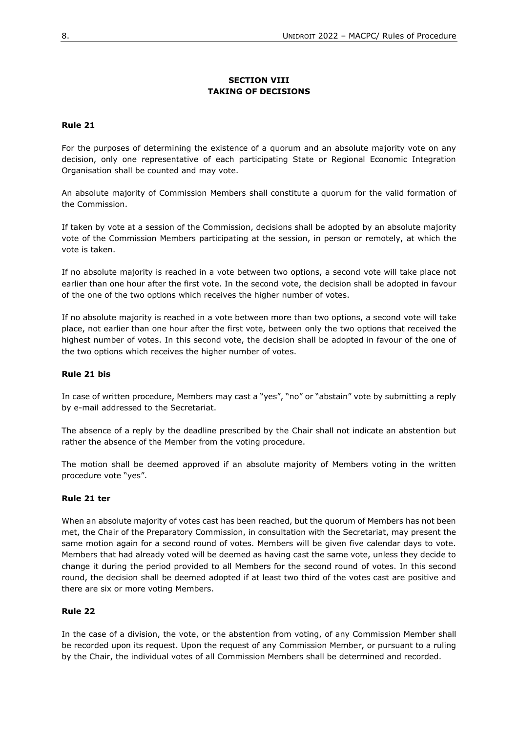## **SECTION VIII TAKING OF DECISIONS**

### <span id="page-7-1"></span><span id="page-7-0"></span>**Rule 21**

For the purposes of determining the existence of a quorum and an absolute majority vote on any decision, only one representative of each participating State or Regional Economic Integration Organisation shall be counted and may vote.

An absolute majority of Commission Members shall constitute a quorum for the valid formation of the Commission.

If taken by vote at a session of the Commission, decisions shall be adopted by an absolute majority vote of the Commission Members participating at the session, in person or remotely, at which the vote is taken.

If no absolute majority is reached in a vote between two options, a second vote will take place not earlier than one hour after the first vote. In the second vote, the decision shall be adopted in favour of the one of the two options which receives the higher number of votes.

If no absolute majority is reached in a vote between more than two options, a second vote will take place, not earlier than one hour after the first vote, between only the two options that received the highest number of votes. In this second vote, the decision shall be adopted in favour of the one of the two options which receives the higher number of votes.

### **Rule 21 bis**

In case of written procedure, Members may cast a "yes", "no" or "abstain" vote by submitting a reply by e-mail addressed to the Secretariat.

The absence of a reply by the deadline prescribed by the Chair shall not indicate an abstention but rather the absence of the Member from the voting procedure.

The motion shall be deemed approved if an absolute majority of Members voting in the written procedure vote "yes".

### **Rule 21 ter**

When an absolute majority of votes cast has been reached, but the quorum of Members has not been met, the Chair of the Preparatory Commission, in consultation with the Secretariat, may present the same motion again for a second round of votes. Members will be given five calendar days to vote. Members that had already voted will be deemed as having cast the same vote, unless they decide to change it during the period provided to all Members for the second round of votes. In this second round, the decision shall be deemed adopted if at least two third of the votes cast are positive and there are six or more voting Members.

### **Rule 22**

In the case of a division, the vote, or the abstention from voting, of any Commission Member shall be recorded upon its request. Upon the request of any Commission Member, or pursuant to a ruling by the Chair, the individual votes of all Commission Members shall be determined and recorded.